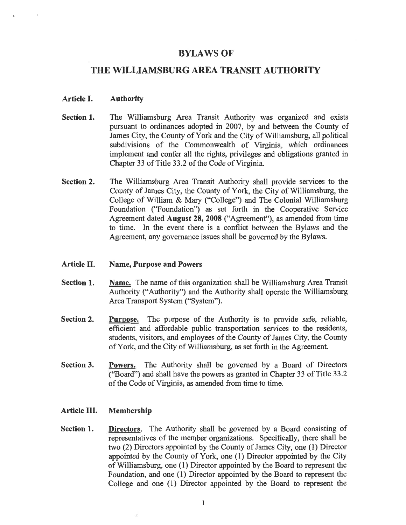# **BYLAWS OF**

# THE WILLIAMSBURG AREA TRANSIT AUTHORITY

#### Article I. **Authority**

- The Williamsburg Area Transit Authority was organized and exists Section 1. pursuant to ordinances adopted in 2007, by and between the County of James City, the County of York and the City of Williamsburg, all political subdivisions of the Commonwealth of Virginia, which ordinances implement and confer all the rights, privileges and obligations granted in Chapter 33 of Title 33.2 of the Code of Virginia.
- Section 2. The Williamsburg Area Transit Authority shall provide services to the County of James City, the County of York, the City of Williamsburg, the College of William & Mary ("College") and The Colonial Williamsburg Foundation ("Foundation") as set forth in the Cooperative Service Agreement dated August 28, 2008 ("Agreement"), as amended from time to time. In the event there is a conflict between the Bylaws and the Agreement, any governance issues shall be governed by the Bylaws.

#### Article II. **Name, Purpose and Powers**

- Section 1. Name. The name of this organization shall be Williamsburg Area Transit Authority ("Authority") and the Authority shall operate the Williamsburg Area Transport System ("System").
- **Section 2. Purpose.** The purpose of the Authority is to provide safe, reliable, efficient and affordable public transportation services to the residents, students, visitors, and employees of the County of James City, the County of York, and the City of Williamsburg, as set forth in the Agreement.
- Section 3. Powers. The Authority shall be governed by a Board of Directors ("Board") and shall have the powers as granted in Chapter 33 of Title 33.2 of the Code of Virginia, as amended from time to time.

#### Article III. Membership

Section 1. **Directors.** The Authority shall be governed by a Board consisting of representatives of the member organizations. Specifically, there shall be two (2) Directors appointed by the County of James City, one (1) Director appointed by the County of York, one (1) Director appointed by the City of Williamsburg, one (1) Director appointed by the Board to represent the Foundation, and one (1) Director appointed by the Board to represent the College and one (1) Director appointed by the Board to represent the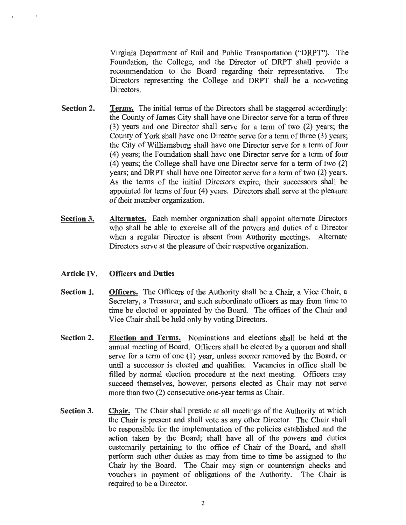Virginia Department of Rail and Public Transportation ("DRPT"). The Foundation, the College, and the Director of DRPT shall provide a recommendation to the Board regarding their representative. The Directors representing the College and DRPT shall be a non-voting Directors.

- Section 2. **Terms.** The initial terms of the Directors shall be staggered accordingly: the County of James City shall have one Director serve for a term of three (3) years and one Director shall serve for a term of two (2) years; the County of York shall have one Director serve for a term of three (3) years; the City of Williamsburg shall have one Director serve for a term of four (4) years; the Foundation shall have one Director serve for a term of four (4) years; the College shall have one Director serve for a term of two (2) years; and DRPT shall have one Director serve for a term of two (2) years. As the terms of the initial Directors expire, their successors shall be appointed for terms of four (4) years. Directors shall serve at the pleasure of their member organization.
- Section 3. Alternates. Each member organization shall appoint alternate Directors who shall be able to exercise all of the powers and duties of a Director when a regular Director is absent from Authority meetings. Alternate Directors serve at the pleasure of their respective organization.

#### Article IV. **Officers and Duties**

- Officers. The Officers of the Authority shall be a Chair, a Vice Chair, a Section 1. Secretary, a Treasurer, and such subordinate officers as may from time to time be elected or appointed by the Board. The offices of the Chair and Vice Chair shall be held only by voting Directors.
- Section 2. **Election and Terms.** Nominations and elections shall be held at the annual meeting of Board. Officers shall be elected by a quorum and shall serve for a term of one (1) year, unless sooner removed by the Board, or until a successor is elected and qualifies. Vacancies in office shall be filled by normal election procedure at the next meeting. Officers may succeed themselves, however, persons elected as Chair may not serve more than two (2) consecutive one-year terms as Chair.
- Section 3. **Chair.** The Chair shall preside at all meetings of the Authority at which the Chair is present and shall vote as any other Director. The Chair shall be responsible for the implementation of the policies established and the action taken by the Board; shall have all of the powers and duties customarily pertaining to the office of Chair of the Board, and shall perform such other duties as may from time to time be assigned to the Chair by the Board. The Chair may sign or countersign checks and vouchers in payment of obligations of the Authority. The Chair is required to be a Director.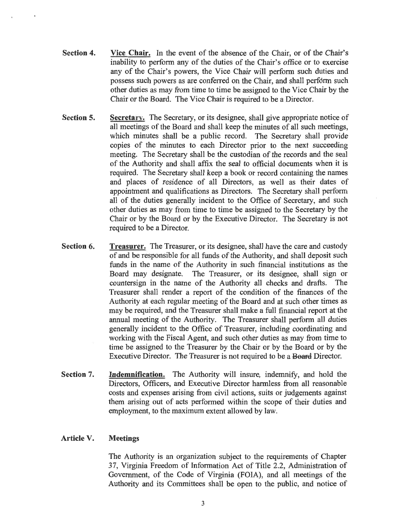- Section 4. Vice Chair. In the event of the absence of the Chair, or of the Chair's inability to perform any of the duties of the Chair's office or to exercise any of the Chair's powers, the Vice Chair will perform such duties and possess such powers as are conferred on the Chair, and shall perform such other duties as may from time to time be assigned to the Vice Chair by the Chair or the Board. The Vice Chair is required to be a Director.
- Section 5. Secretary. The Secretary, or its designee, shall give appropriate notice of all meetings of the Board and shall keep the minutes of all such meetings, which minutes shall be a public record. The Secretary shall provide copies of the minutes to each Director prior to the next succeeding meeting. The Secretary shall be the custodian of the records and the seal of the Authority and shall affix the seal to official documents when it is required. The Secretary shall keep a book or record containing the names and places of residence of all Directors, as well as their dates of appointment and qualifications as Directors. The Secretary shall perform all of the duties generally incident to the Office of Secretary, and such other duties as may from time to time be assigned to the Secretary by the Chair or by the Board or by the Executive Director. The Secretary is not required to be a Director.
- Section 6. **Treasurer.** The Treasurer, or its designee, shall have the care and custody of and be responsible for all funds of the Authority, and shall deposit such funds in the name of the Authority in such financial institutions as the Board may designate. The Treasurer, or its designee, shall sign or countersign in the name of the Authority all checks and drafts. The Treasurer shall render a report of the condition of the finances of the Authority at each regular meeting of the Board and at such other times as may be required, and the Treasurer shall make a full financial report at the annual meeting of the Authority. The Treasurer shall perform all duties generally incident to the Office of Treasurer, including coordinating and working with the Fiscal Agent, and such other duties as may from time to time be assigned to the Treasurer by the Chair or by the Board or by the Executive Director. The Treasurer is not required to be a Board Director.
- Section 7. Indemnification. The Authority will insure, indemnify, and hold the Directors, Officers, and Executive Director harmless from all reasonable costs and expenses arising from civil actions, suits or judgements against them arising out of acts performed within the scope of their duties and employment, to the maximum extent allowed by law.

#### Article V. **Meetings**

The Authority is an organization subject to the requirements of Chapter 37, Virginia Freedom of Information Act of Title 2.2, Administration of Government, of the Code of Virginia (FOIA), and all meetings of the Authority and its Committees shall be open to the public, and notice of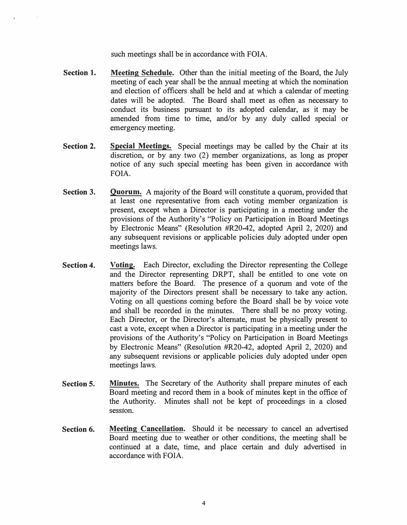such meetings shall be in accordance with FOIA.

- **Section 1. Meeting Schedule.** Other than the initial meeting of the Board, the July meeting of each year shall be the annual meeting at which the nomination and election of officers shall be held and at which a calendar of meeting dates will be adopted. The Board shall meet as often as necessary to conduct its business pursuant to its adopted calendar, as it may be amended from time to time, and/or by any duly called special or emergency meeting.
- **Section 2. Special Meetings.** Special meetings may be called by the Chair at its discretion, or by any two (2) member organizations, as long as proper notice of any such special meeting has been given in accordance with FOIA.
- **Section 3. Quorum.** A majority of the Board will constitute a quorum, provided that at least one representative from each voting member organization is present, except when a Director is participating in a meeting under the provisions of the Authority's "Policy on Participation in Board Meetings by Electronic Means" (Resolution #R20-42, adopted April 2, 2020) and any subsequent revisions or applicable policies duly adopted under open meetings laws.
- **Section 4. Voting.** Each Director, excluding the Director representing the College and the Director representing DRPT, shall be entitled to one vote on matters before the Board. The presence of a quorum and vote of the majority of the Directors present shall be necessary to take any action. Voting on all questions coming before the Board shall be by voice vote and shall be recorded in the minutes. There shall be no proxy voting. Each Director, or the Director's alternate, must be physically present to cast a vote, except when a Director is participating in a meeting under the provisions of the Authority's "Policy on Participation in Board Meetings by Electronic Means" (Resolution #R20-42, adopted April 2, 2020) and any subsequent revisions or applicable policies duly adopted under open meetings laws.
- **Section 5. Minutes.** The Secretary of the Authority shall prepare minutes of each Board meeting and record them in a book of minutes kept in the office of the Authority. Minutes shall not be kept of proceedings in a closed session.
- **Section 6. Meeting Cancellation.** Should it be necessary to cancel an advertised Board meeting due to weather or other conditions, the meeting shall be continued at a date, time, and place certain and duly advertised in accordance with FOIA.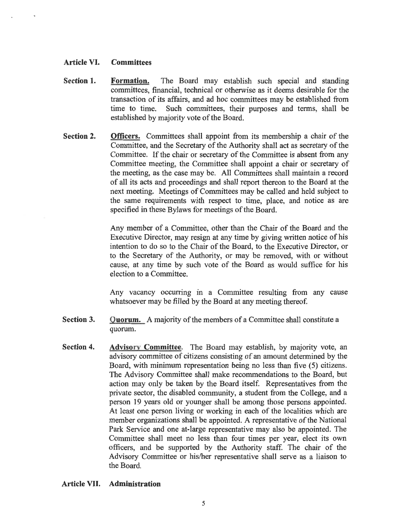#### Article VI. **Committees**

- Section 1. The Board may establish such special and standing Formation. committees, financial, technical or otherwise as it deems desirable for the transaction of its affairs, and ad hoc committees may be established from time to time. Such committees, their purposes and terms, shall be established by majority vote of the Board.
- Section 2. **Officers.** Committees shall appoint from its membership a chair of the Committee, and the Secretary of the Authority shall act as secretary of the Committee. If the chair or secretary of the Committee is absent from any Committee meeting, the Committee shall appoint a chair or secretary of the meeting, as the case may be. All Committees shall maintain a record of all its acts and proceedings and shall report thereon to the Board at the next meeting. Meetings of Committees may be called and held subject to the same requirements with respect to time, place, and notice as are specified in these Bylaws for meetings of the Board.

Any member of a Committee, other than the Chair of the Board and the Executive Director, may resign at any time by giving written notice of his intention to do so to the Chair of the Board, to the Executive Director, or to the Secretary of the Authority, or may be removed, with or without cause, at any time by such vote of the Board as would suffice for his election to a Committee.

Any vacancy occurring in a Committee resulting from any cause whatsoever may be filled by the Board at any meeting thereof.

- **Section 3. Quorum.** A majority of the members of a Committee shall constitute a quorum.
- Section 4. Advisory Committee. The Board may establish, by majority vote, an advisory committee of citizens consisting of an amount determined by the Board, with minimum representation being no less than five (5) citizens. The Advisory Committee shall make recommendations to the Board, but action may only be taken by the Board itself. Representatives from the private sector, the disabled community, a student from the College, and a person 19 years old or younger shall be among those persons appointed. At least one person living or working in each of the localities which are member organizations shall be appointed. A representative of the National Park Service and one at-large representative may also be appointed. The Committee shall meet no less than four times per year, elect its own officers, and be supported by the Authority staff. The chair of the Advisory Committee or his/her representative shall serve as a liaison to the Board.

### Article VII. Administration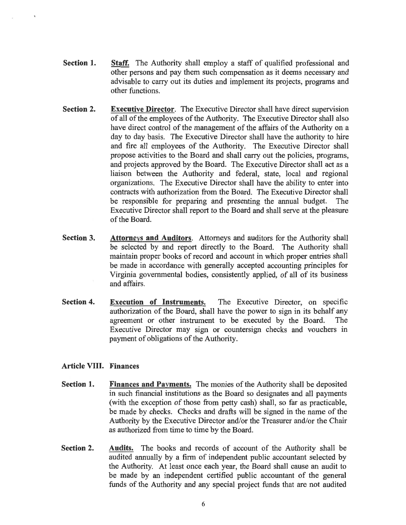- Section 1. **Staff.** The Authority shall employ a staff of qualified professional and other persons and pay them such compensation as it deems necessary and advisable to carry out its duties and implement its projects, programs and other functions.
- **Section 2. Executive Director.** The Executive Director shall have direct supervision of all of the employees of the Authority. The Executive Director shall also have direct control of the management of the affairs of the Authority on a day to day basis. The Executive Director shall have the authority to hire and fire all employees of the Authority. The Executive Director shall propose activities to the Board and shall carry out the policies, programs, and projects approved by the Board. The Executive Director shall act as a liaison between the Authority and federal, state, local and regional organizations. The Executive Director shall have the ability to enter into contracts with authorization from the Board. The Executive Director shall be responsible for preparing and presenting the annual budget. The Executive Director shall report to the Board and shall serve at the pleasure of the Board.
- Section 3. Attorneys and Auditors. Attorneys and auditors for the Authority shall be selected by and report directly to the Board. The Authority shall maintain proper books of record and account in which proper entries shall be made in accordance with generally accepted accounting principles for Virginia governmental bodies, consistently applied, of all of its business and affairs.
- **Section 4. Execution of Instruments.** The Executive Director, on specific authorization of the Board, shall have the power to sign in its behalf any agreement or other instrument to be executed by the Board. The Executive Director may sign or countersign checks and vouchers in payment of obligations of the Authority.

## **Article VIII. Finances**

- Section 1. Finances and Payments. The monies of the Authority shall be deposited in such financial institutions as the Board so designates and all payments (with the exception of those from petty cash) shall, so far as practicable, be made by checks. Checks and drafts will be signed in the name of the Authority by the Executive Director and/or the Treasurer and/or the Chair as authorized from time to time by the Board.
- Section 2. Audits. The books and records of account of the Authority shall be audited annually by a firm of independent public accountant selected by the Authority. At least once each year, the Board shall cause an audit to be made by an independent certified public accountant of the general funds of the Authority and any special project funds that are not audited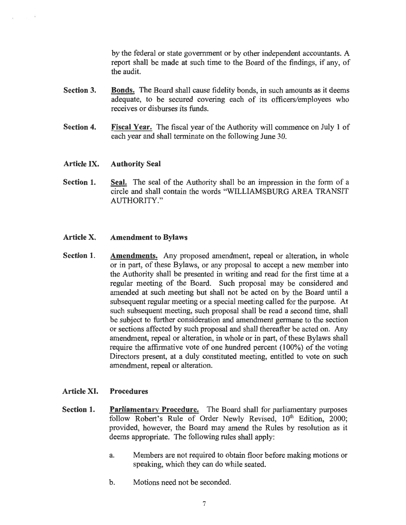by the federal or state government or by other independent accountants. A report shall be made at such time to the Board of the findings, if any, of the audit.

- Section 3. **Bonds.** The Board shall cause fidelity bonds, in such amounts as it deems adequate, to be secured covering each of its officers/employees who receives or disburses its funds.
- Section 4. Fiscal Year. The fiscal year of the Authority will commence on July 1 of each year and shall terminate on the following June 30.
- Article IX. **Authority Seal**
- Section 1. Seal. The seal of the Authority shall be an impression in the form of a circle and shall contain the words "WILLIAMSBURG AREA TRANSIT AUTHORITY."

#### Article X. **Amendment to Bylaws**

Section 1. **Amendments.** Any proposed amendment, repeal or alteration, in whole or in part, of these Bylaws, or any proposal to accept a new member into the Authority shall be presented in writing and read for the first time at a regular meeting of the Board. Such proposal may be considered and amended at such meeting but shall not be acted on by the Board until a subsequent regular meeting or a special meeting called for the purpose. At such subsequent meeting, such proposal shall be read a second time, shall be subject to further consideration and amendment germane to the section or sections affected by such proposal and shall thereafter be acted on. Any amendment, repeal or alteration, in whole or in part, of these Bylaws shall require the affirmative vote of one hundred percent (100%) of the voting Directors present, at a duly constituted meeting, entitled to vote on such amendment, repeal or alteration.

#### Article XI. **Procedures**

- **Parliamentary Procedure.** The Board shall for parliamentary purposes Section 1. follow Robert's Rule of Order Newly Revised, 10<sup>th</sup> Edition, 2000; provided, however, the Board may amend the Rules by resolution as it deems appropriate. The following rules shall apply:
	- a. Members are not required to obtain floor before making motions or speaking, which they can do while seated.
	- Motions need not be seconded.  $<sub>b</sub>$ .</sub>